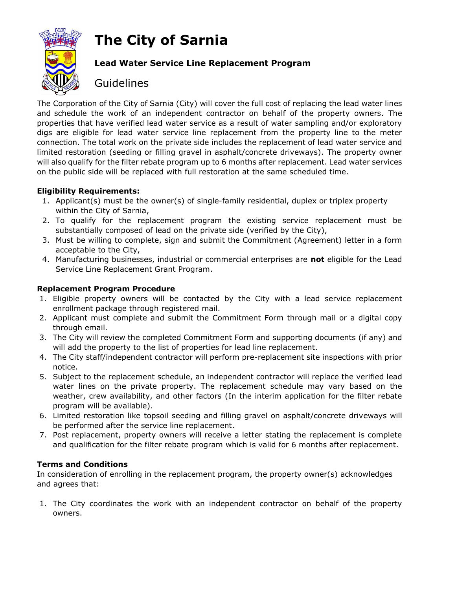# **The City of Sarnia**



### **Lead Water Service Line Replacement Program**

## **Guidelines**

The Corporation of the City of Sarnia (City) will cover the full cost of replacing the lead water lines and schedule the work of an independent contractor on behalf of the property owners. The properties that have verified lead water service as a result of water sampling and/or exploratory digs are eligible for lead water service line replacement from the property line to the meter connection. The total work on the private side includes the replacement of lead water service and limited restoration (seeding or filling gravel in asphalt/concrete driveways). The property owner will also qualify for the filter rebate program up to 6 months after replacement. Lead water services on the public side will be replaced with full restoration at the same scheduled time.

#### **Eligibility Requirements:**

- 1. Applicant(s) must be the owner(s) of single-family residential, duplex or triplex property within the City of Sarnia,
- 2. To qualify for the replacement program the existing service replacement must be substantially composed of lead on the private side (verified by the City),
- 3. Must be willing to complete, sign and submit the Commitment (Agreement) letter in a form acceptable to the City,
- 4. Manufacturing businesses, industrial or commercial enterprises are **not** eligible for the Lead Service Line Replacement Grant Program.

#### **Replacement Program Procedure**

- 1. Eligible property owners will be contacted by the City with a lead service replacement enrollment package through registered mail.
- 2. Applicant must complete and submit the Commitment Form through mail or a digital copy through email.
- 3. The City will review the completed Commitment Form and supporting documents (if any) and will add the property to the list of properties for lead line replacement.
- 4. The City staff/independent contractor will perform pre-replacement site inspections with prior notice.
- 5. Subject to the replacement schedule, an independent contractor will replace the verified lead water lines on the private property. The replacement schedule may vary based on the weather, crew availability, and other factors (In the interim application for the filter rebate program will be available).
- 6. Limited restoration like topsoil seeding and filling gravel on asphalt/concrete driveways will be performed after the service line replacement.
- 7. Post replacement, property owners will receive a letter stating the replacement is complete and qualification for the filter rebate program which is valid for 6 months after replacement.

#### **Terms and Conditions**

In consideration of enrolling in the replacement program, the property owner(s) acknowledges and agrees that:

1. The City coordinates the work with an independent contractor on behalf of the property owners.